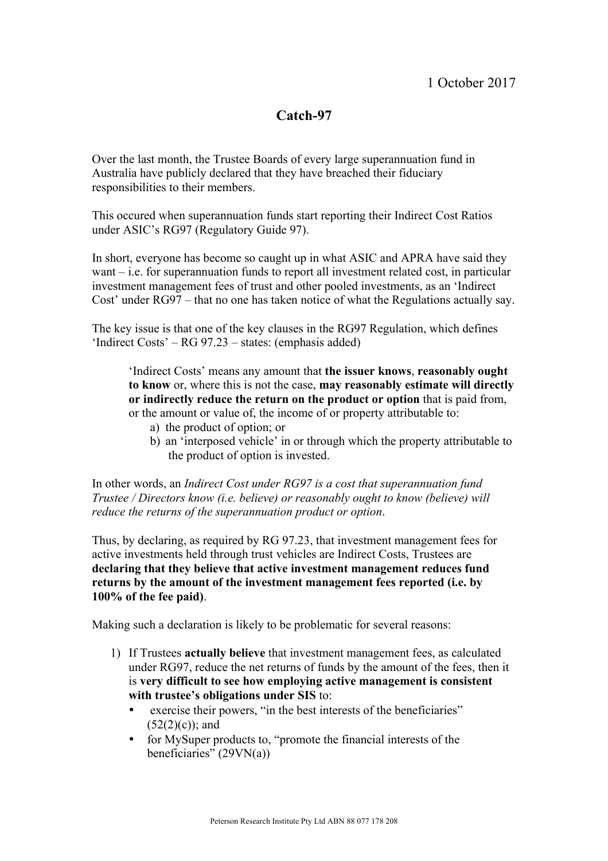# **Catch-97**

Over the last month, the Trustee Boards of every large superannuation fund in Australia have publicly declared that they have breached their fiduciary responsibilities to their members.

This occured when superannuation funds start reporting their Indirect Cost Ratios under ASIC's RG97 (Regulatory Guide 97).

In short, everyone has become so caught up in what ASIC and APRA have said they want – i.e. for superannuation funds to report all investment related cost, in particular investment management fees of trust and other pooled investments, as an 'Indirect Cost' under RG97 – that no one has taken notice of what the Regulations actually say.

The key issue is that one of the key clauses in the RG97 Regulation, which defines 'Indirect Costs' – RG 97.23 – states: (emphasis added)

'Indirect Costs' means any amount that **the issuer knows**, **reasonably ought to know** or, where this is not the case, **may reasonably estimate will directly or indirectly reduce the return on the product or option** that is paid from, or the amount or value of, the income of or property attributable to:

- a) the product of option; or
- b) an 'interposed vehicle' in or through which the property attributable to the product of option is invested.

In other words, an *Indirect Cost under RG97 is a cost that superannuation fund Trustee / Directors know (i.e. believe) or reasonably ought to know (believe) will reduce the returns of the superannuation product or option*.

Thus, by declaring, as required by RG 97.23, that investment management fees for active investments held through trust vehicles are Indirect Costs, Trustees are **declaring that they believe that active investment management reduces fund returns by the amount of the investment management fees reported (i.e. by 100% of the fee paid)**.

Making such a declaration is likely to be problematic for several reasons:

- 1) If Trustees **actually believe** that investment management fees, as calculated under RG97, reduce the net returns of funds by the amount of the fees, then it is **very difficult to see how employing active management is consistent with trustee's obligations under SIS** to:
	- exercise their powers, "in the best interests of the beneficiaries"  $(52(2)(c))$ ; and
	- for MySuper products to, "promote the financial interests of the beneficiaries" (29VN(a))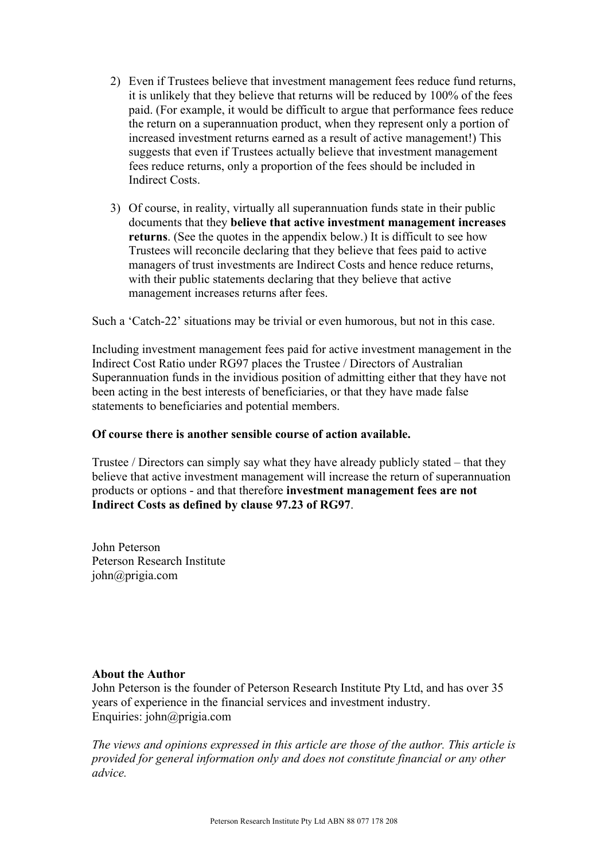- 2) Even if Trustees believe that investment management fees reduce fund returns, it is unlikely that they believe that returns will be reduced by 100% of the fees paid. (For example, it would be difficult to argue that performance fees reduce the return on a superannuation product, when they represent only a portion of increased investment returns earned as a result of active management!) This suggests that even if Trustees actually believe that investment management fees reduce returns, only a proportion of the fees should be included in Indirect Costs.
- 3) Of course, in reality, virtually all superannuation funds state in their public documents that they **believe that active investment management increases returns**. (See the quotes in the appendix below.) It is difficult to see how Trustees will reconcile declaring that they believe that fees paid to active managers of trust investments are Indirect Costs and hence reduce returns, with their public statements declaring that they believe that active management increases returns after fees.

Such a 'Catch-22' situations may be trivial or even humorous, but not in this case.

Including investment management fees paid for active investment management in the Indirect Cost Ratio under RG97 places the Trustee / Directors of Australian Superannuation funds in the invidious position of admitting either that they have not been acting in the best interests of beneficiaries, or that they have made false statements to beneficiaries and potential members.

#### **Of course there is another sensible course of action available.**

Trustee / Directors can simply say what they have already publicly stated – that they believe that active investment management will increase the return of superannuation products or options - and that therefore **investment management fees are not Indirect Costs as defined by clause 97.23 of RG97**.

John Peterson Peterson Research Institute john@prigia.com

#### **About the Author**

John Peterson is the founder of Peterson Research Institute Pty Ltd, and has over 35 years of experience in the financial services and investment industry. Enquiries: john@prigia.com

*The views and opinions expressed in this article are those of the author. This article is provided for general information only and does not constitute financial or any other advice.*